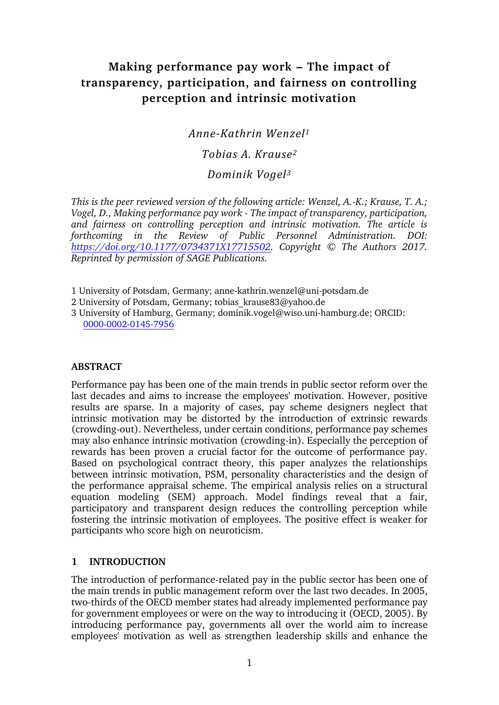# **Making performance pay work – The impact of transparency, participation, and fairness on controlling perception and intrinsic motivation**

*Anne-Kathrin Wenzel<sup>1</sup>*

# *Tobias A. Krause<sup>2</sup>*

# *Dominik Vogel<sup>3</sup>*

*This is the peer reviewed version of the following article: Wenzel, A.-K.; Krause, T. A.; Vogel, D., Making performance pay work - The impact of transparency, participation, and fairness on controlling perception and intrinsic motivation. The article is forthcoming in the Review of Public Personnel Administration. DOI: [https://doi.org/10.1177/0734371X17715502.](https://doi.org/10.1177/0734371X17715502) Copyright © The Authors 2017. Reprinted by permission of SAGE Publications.*

1 University of Potsdam, Germany; anne-kathrin.wenzel@uni-potsdam.de

2 University of Potsdam, Germany; tobias krause83@yahoo.de

3 University of Hamburg, Germany; dominik.vogel@wiso.uni-hamburg.de; ORCID: [0000-0002-0145-7956](http://orcid.org/0000-0002-0145-7956)

#### **ABSTRACT**

Performance pay has been one of the main trends in public sector reform over the last decades and aims to increase the employees' motivation. However, positive results are sparse. In a majority of cases, pay scheme designers neglect that intrinsic motivation may be distorted by the introduction of extrinsic rewards (crowding-out). Nevertheless, under certain conditions, performance pay schemes may also enhance intrinsic motivation (crowding-in). Especially the perception of rewards has been proven a crucial factor for the outcome of performance pay. Based on psychological contract theory, this paper analyzes the relationships between intrinsic motivation, PSM, personality characteristics and the design of the performance appraisal scheme. The empirical analysis relies on a structural equation modeling (SEM) approach. Model findings reveal that a fair, participatory and transparent design reduces the controlling perception while fostering the intrinsic motivation of employees. The positive effect is weaker for participants who score high on neuroticism.

# **1 INTRODUCTION**

The introduction of performance-related pay in the public sector has been one of the main trends in public management reform over the last two decades. In 2005, two-thirds of the OECD member states had already implemented performance pay for government employees or were on the way to introducing it (OECD, 2005). By introducing performance pay, governments all over the world aim to increase employees' motivation as well as strengthen leadership skills and enhance the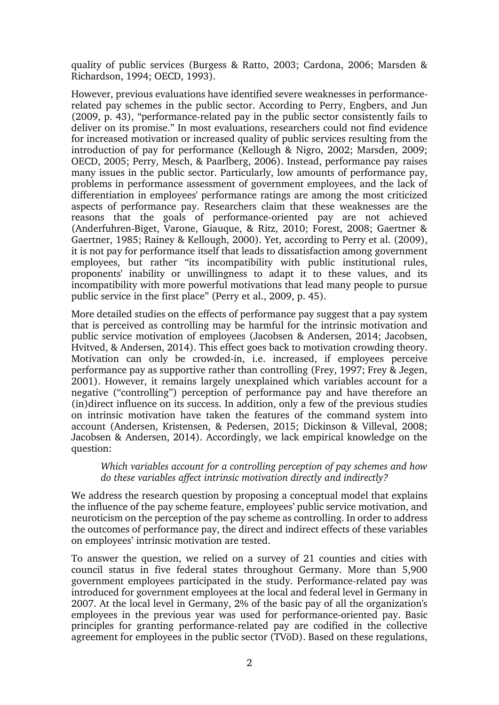quality of public services (Burgess & Ratto, 2003; Cardona, 2006; Marsden & Richardson, 1994; OECD, 1993).

However, previous evaluations have identified severe weaknesses in performancerelated pay schemes in the public sector. According to Perry, Engbers, and Jun (2009, p. 43), "performance-related pay in the public sector consistently fails to deliver on its promise." In most evaluations, researchers could not find evidence for increased motivation or increased quality of public services resulting from the introduction of pay for performance (Kellough & Nigro, 2002; Marsden, 2009; OECD, 2005; Perry, Mesch, & Paarlberg, 2006). Instead, performance pay raises many issues in the public sector. Particularly, low amounts of performance pay, problems in performance assessment of government employees, and the lack of differentiation in employees' performance ratings are among the most criticized aspects of performance pay. Researchers claim that these weaknesses are the reasons that the goals of performance-oriented pay are not achieved (Anderfuhren-Biget, Varone, Giauque, & Ritz, 2010; Forest, 2008; Gaertner & Gaertner, 1985; Rainey & Kellough, 2000). Yet, according to Perry et al. (2009), it is not pay for performance itself that leads to dissatisfaction among government employees, but rather "its incompatibility with public institutional rules, proponents' inability or unwillingness to adapt it to these values, and its incompatibility with more powerful motivations that lead many people to pursue public service in the first place" (Perry et al., 2009, p. 45).

More detailed studies on the effects of performance pay suggest that a pay system that is perceived as controlling may be harmful for the intrinsic motivation and public service motivation of employees (Jacobsen & Andersen, 2014; Jacobsen, Hvitved, & Andersen, 2014). This effect goes back to motivation crowding theory. Motivation can only be crowded-in, i.e. increased, if employees perceive performance pay as supportive rather than controlling (Frey, 1997; Frey & Jegen, 2001). However, it remains largely unexplained which variables account for a negative ("controlling") perception of performance pay and have therefore an (in)direct influence on its success. In addition, only a few of the previous studies on intrinsic motivation have taken the features of the command system into account (Andersen, Kristensen, & Pedersen, 2015; Dickinson & Villeval, 2008; Jacobsen & Andersen, 2014). Accordingly, we lack empirical knowledge on the question:

#### *Which variables account for a controlling perception of pay schemes and how do these variables affect intrinsic motivation directly and indirectly?*

We address the research question by proposing a conceptual model that explains the influence of the pay scheme feature, employees' public service motivation, and neuroticism on the perception of the pay scheme as controlling. In order to address the outcomes of performance pay, the direct and indirect effects of these variables on employees' intrinsic motivation are tested.

To answer the question, we relied on a survey of 21 counties and cities with council status in five federal states throughout Germany. More than 5,900 government employees participated in the study. Performance-related pay was introduced for government employees at the local and federal level in Germany in 2007. At the local level in Germany, 2% of the basic pay of all the organization's employees in the previous year was used for performance-oriented pay. Basic principles for granting performance-related pay are codified in the collective agreement for employees in the public sector (TVöD). Based on these regulations,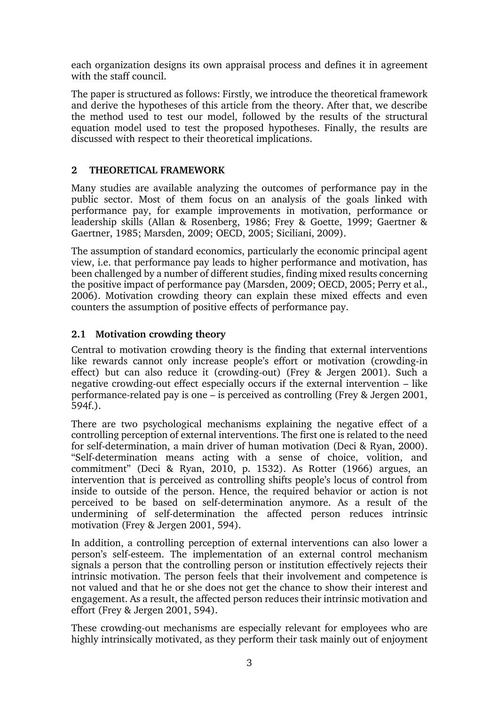each organization designs its own appraisal process and defines it in agreement with the staff council.

The paper is structured as follows: Firstly, we introduce the theoretical framework and derive the hypotheses of this article from the theory. After that, we describe the method used to test our model, followed by the results of the structural equation model used to test the proposed hypotheses. Finally, the results are discussed with respect to their theoretical implications.

### **2 THEORETICAL FRAMEWORK**

Many studies are available analyzing the outcomes of performance pay in the public sector. Most of them focus on an analysis of the goals linked with performance pay, for example improvements in motivation, performance or leadership skills (Allan & Rosenberg, 1986; Frey & Goette, 1999; Gaertner & Gaertner, 1985; Marsden, 2009; OECD, 2005; Siciliani, 2009).

The assumption of standard economics, particularly the economic principal agent view, i.e. that performance pay leads to higher performance and motivation, has been challenged by a number of different studies, finding mixed results concerning the positive impact of performance pay (Marsden, 2009; OECD, 2005; Perry et al., 2006). Motivation crowding theory can explain these mixed effects and even counters the assumption of positive effects of performance pay.

# **2.1 Motivation crowding theory**

Central to motivation crowding theory is the finding that external interventions like rewards cannot only increase people's effort or motivation (crowding-in effect) but can also reduce it (crowding-out) (Frey & Jergen 2001). Such a negative crowding-out effect especially occurs if the external intervention – like performance-related pay is one – is perceived as controlling (Frey & Jergen 2001, 594f.).

There are two psychological mechanisms explaining the negative effect of a controlling perception of external interventions. The first one is related to the need for self-determination, a main driver of human motivation (Deci & Ryan, 2000). "Self-determination means acting with a sense of choice, volition, and commitment" (Deci & Ryan, 2010, p. 1532). As Rotter (1966) argues, an intervention that is perceived as controlling shifts people's locus of control from inside to outside of the person. Hence, the required behavior or action is not perceived to be based on self-determination anymore. As a result of the undermining of self-determination the affected person reduces intrinsic motivation (Frey & Jergen 2001, 594).

In addition, a controlling perception of external interventions can also lower a person's self-esteem. The implementation of an external control mechanism signals a person that the controlling person or institution effectively rejects their intrinsic motivation. The person feels that their involvement and competence is not valued and that he or she does not get the chance to show their interest and engagement. As a result, the affected person reduces their intrinsic motivation and effort (Frey & Jergen 2001, 594).

These crowding-out mechanisms are especially relevant for employees who are highly intrinsically motivated, as they perform their task mainly out of enjoyment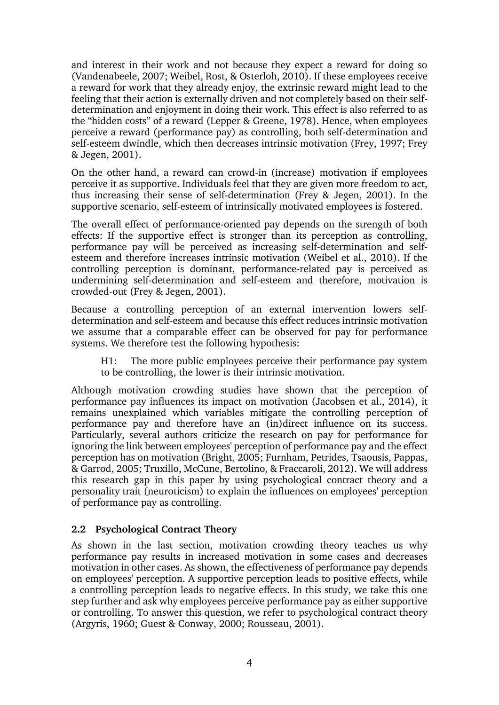and interest in their work and not because they expect a reward for doing so (Vandenabeele, 2007; Weibel, Rost, & Osterloh, 2010). If these employees receive a reward for work that they already enjoy, the extrinsic reward might lead to the feeling that their action is externally driven and not completely based on their selfdetermination and enjoyment in doing their work. This effect is also referred to as the "hidden costs" of a reward (Lepper & Greene, 1978). Hence, when employees perceive a reward (performance pay) as controlling, both self-determination and self-esteem dwindle, which then decreases intrinsic motivation (Frey, 1997; Frey & Jegen, 2001).

On the other hand, a reward can crowd-in (increase) motivation if employees perceive it as supportive. Individuals feel that they are given more freedom to act, thus increasing their sense of self-determination (Frey & Jegen, 2001). In the supportive scenario, self-esteem of intrinsically motivated employees is fostered.

The overall effect of performance-oriented pay depends on the strength of both effects: If the supportive effect is stronger than its perception as controlling, performance pay will be perceived as increasing self-determination and selfesteem and therefore increases intrinsic motivation (Weibel et al., 2010). If the controlling perception is dominant, performance-related pay is perceived as undermining self-determination and self-esteem and therefore, motivation is crowded-out (Frey & Jegen, 2001).

Because a controlling perception of an external intervention lowers selfdetermination and self-esteem and because this effect reduces intrinsic motivation we assume that a comparable effect can be observed for pay for performance systems. We therefore test the following hypothesis:

H1: The more public employees perceive their performance pay system to be controlling, the lower is their intrinsic motivation.

Although motivation crowding studies have shown that the perception of performance pay influences its impact on motivation (Jacobsen et al., 2014), it remains unexplained which variables mitigate the controlling perception of performance pay and therefore have an (in)direct influence on its success. Particularly, several authors criticize the research on pay for performance for ignoring the link between employees' perception of performance pay and the effect perception has on motivation (Bright, 2005; Furnham, Petrides, Tsaousis, Pappas, & Garrod, 2005; Truxillo, McCune, Bertolino, & Fraccaroli, 2012). We will address this research gap in this paper by using psychological contract theory and a personality trait (neuroticism) to explain the influences on employees' perception of performance pay as controlling.

#### **2.2 Psychological Contract Theory**

As shown in the last section, motivation crowding theory teaches us why performance pay results in increased motivation in some cases and decreases motivation in other cases. As shown, the effectiveness of performance pay depends on employees' perception. A supportive perception leads to positive effects, while a controlling perception leads to negative effects. In this study, we take this one step further and ask why employees perceive performance pay as either supportive or controlling. To answer this question, we refer to psychological contract theory (Argyris, 1960; Guest & Conway, 2000; Rousseau, 2001).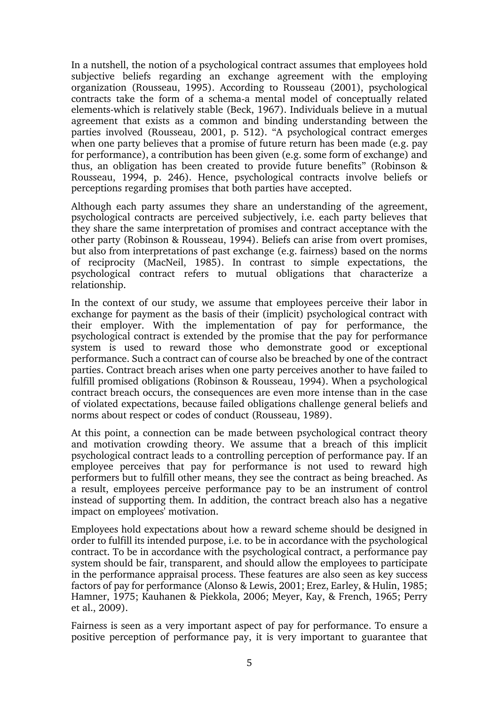In a nutshell, the notion of a psychological contract assumes that employees hold subjective beliefs regarding an exchange agreement with the employing organization (Rousseau, 1995). According to Rousseau (2001), psychological contracts take the form of a schema-a mental model of conceptually related elements-which is relatively stable (Beck, 1967). Individuals believe in a mutual agreement that exists as a common and binding understanding between the parties involved (Rousseau, 2001, p. 512). "A psychological contract emerges when one party believes that a promise of future return has been made (e.g. pay for performance), a contribution has been given (e.g. some form of exchange) and thus, an obligation has been created to provide future benefits" (Robinson & Rousseau, 1994, p. 246). Hence, psychological contracts involve beliefs or perceptions regarding promises that both parties have accepted.

Although each party assumes they share an understanding of the agreement, psychological contracts are perceived subjectively, i.e. each party believes that they share the same interpretation of promises and contract acceptance with the other party (Robinson & Rousseau, 1994). Beliefs can arise from overt promises, but also from interpretations of past exchange (e.g. fairness) based on the norms of reciprocity (MacNeil, 1985). In contrast to simple expectations, the psychological contract refers to mutual obligations that characterize a relationship.

In the context of our study, we assume that employees perceive their labor in exchange for payment as the basis of their (implicit) psychological contract with their employer. With the implementation of pay for performance, the psychological contract is extended by the promise that the pay for performance system is used to reward those who demonstrate good or exceptional performance. Such a contract can of course also be breached by one of the contract parties. Contract breach arises when one party perceives another to have failed to fulfill promised obligations (Robinson & Rousseau, 1994). When a psychological contract breach occurs, the consequences are even more intense than in the case of violated expectations, because failed obligations challenge general beliefs and norms about respect or codes of conduct (Rousseau, 1989).

At this point, a connection can be made between psychological contract theory and motivation crowding theory. We assume that a breach of this implicit psychological contract leads to a controlling perception of performance pay. If an employee perceives that pay for performance is not used to reward high performers but to fulfill other means, they see the contract as being breached. As a result, employees perceive performance pay to be an instrument of control instead of supporting them. In addition, the contract breach also has a negative impact on employees' motivation.

Employees hold expectations about how a reward scheme should be designed in order to fulfill its intended purpose, i.e. to be in accordance with the psychological contract. To be in accordance with the psychological contract, a performance pay system should be fair, transparent, and should allow the employees to participate in the performance appraisal process. These features are also seen as key success factors of pay for performance (Alonso & Lewis, 2001; Erez, Earley, & Hulin, 1985; Hamner, 1975; Kauhanen & Piekkola, 2006; Meyer, Kay, & French, 1965; Perry et al., 2009).

Fairness is seen as a very important aspect of pay for performance. To ensure a positive perception of performance pay, it is very important to guarantee that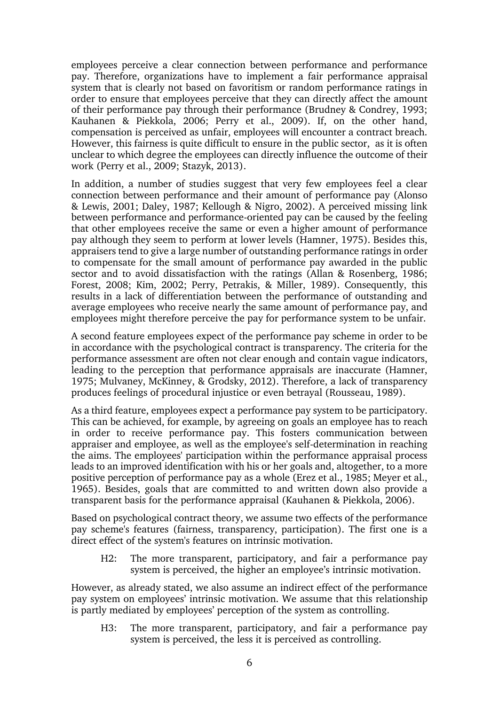employees perceive a clear connection between performance and performance pay. Therefore, organizations have to implement a fair performance appraisal system that is clearly not based on favoritism or random performance ratings in order to ensure that employees perceive that they can directly affect the amount of their performance pay through their performance (Brudney & Condrey, 1993; Kauhanen & Piekkola, 2006; Perry et al., 2009). If, on the other hand, compensation is perceived as unfair, employees will encounter a contract breach. However, this fairness is quite difficult to ensure in the public sector, as it is often unclear to which degree the employees can directly influence the outcome of their work (Perry et al., 2009; Stazyk, 2013).

In addition, a number of studies suggest that very few employees feel a clear connection between performance and their amount of performance pay (Alonso & Lewis, 2001; Daley, 1987; Kellough & Nigro, 2002). A perceived missing link between performance and performance-oriented pay can be caused by the feeling that other employees receive the same or even a higher amount of performance pay although they seem to perform at lower levels (Hamner, 1975). Besides this, appraisers tend to give a large number of outstanding performance ratings in order to compensate for the small amount of performance pay awarded in the public sector and to avoid dissatisfaction with the ratings (Allan & Rosenberg, 1986; Forest, 2008; Kim, 2002; Perry, Petrakis, & Miller, 1989). Consequently, this results in a lack of differentiation between the performance of outstanding and average employees who receive nearly the same amount of performance pay, and employees might therefore perceive the pay for performance system to be unfair.

A second feature employees expect of the performance pay scheme in order to be in accordance with the psychological contract is transparency. The criteria for the performance assessment are often not clear enough and contain vague indicators, leading to the perception that performance appraisals are inaccurate (Hamner, 1975; Mulvaney, McKinney, & Grodsky, 2012). Therefore, a lack of transparency produces feelings of procedural injustice or even betrayal (Rousseau, 1989).

As a third feature, employees expect a performance pay system to be participatory. This can be achieved, for example, by agreeing on goals an employee has to reach in order to receive performance pay. This fosters communication between appraiser and employee, as well as the employee's self-determination in reaching the aims. The employees' participation within the performance appraisal process leads to an improved identification with his or her goals and, altogether, to a more positive perception of performance pay as a whole (Erez et al., 1985; Meyer et al., 1965). Besides, goals that are committed to and written down also provide a transparent basis for the performance appraisal (Kauhanen & Piekkola, 2006).

Based on psychological contract theory, we assume two effects of the performance pay scheme's features (fairness, transparency, participation). The first one is a direct effect of the system's features on intrinsic motivation.

H2: The more transparent, participatory, and fair a performance pay system is perceived, the higher an employee's intrinsic motivation.

However, as already stated, we also assume an indirect effect of the performance pay system on employees' intrinsic motivation. We assume that this relationship is partly mediated by employees' perception of the system as controlling.

H3: The more transparent, participatory, and fair a performance pay system is perceived, the less it is perceived as controlling.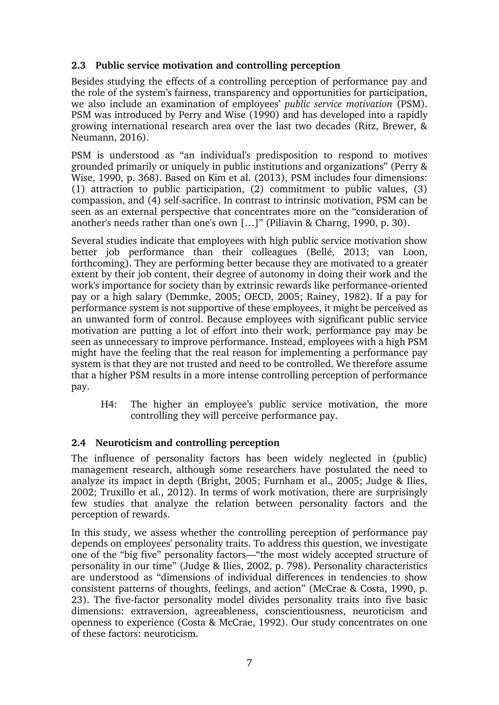### **2.3 Public service motivation and controlling perception**

Besides studying the effects of a controlling perception of performance pay and the role of the system's fairness, transparency and opportunities for participation, we also include an examination of employees' *public service motivation* (PSM). PSM was introduced by [Perry and Wise](#page-20-0) [\(1990\)](#page-20-0) and has developed into a rapidly growing international research area over the last two decades [\(Ritz, Brewer, &](#page-20-1)  [Neumann, 2016\).](#page-20-1)

PSM is understood as "an individual's predisposition to respond to motives grounded primarily or uniquely in public institutions and organizations" (Perry & Wise, 1990, p. 368). Based on Kim et al. (2013), PSM includes four dimensions: (1) attraction to public participation, (2) commitment to public values, (3) compassion, and (4) self-sacrifice. In contrast to intrinsic motivation, PSM can be seen as an external perspective that concentrates more on the "consideration of another's needs rather than one's own […]" (Piliavin & Charng, 1990, p. 30).

Several studies indicate that employees with high public service motivation show better job performance than their colleagues (Bellé, 2013; van Loon, forthcoming). They are performing better because they are motivated to a greater extent by their job content, their degree of autonomy in doing their work and the work's importance for society than by extrinsic rewards like performance-oriented pay or a high salary (Demmke, 2005; OECD, 2005; Rainey, 1982). If a pay for performance system is not supportive of these employees, it might be perceived as an unwanted form of control. Because employees with significant public service motivation are putting a lot of effort into their work, performance pay may be seen as unnecessary to improve performance. Instead, employees with a high PSM might have the feeling that the real reason for implementing a performance pay system is that they are not trusted and need to be controlled. We therefore assume that a higher PSM results in a more intense controlling perception of performance pay.

H4: The higher an employee's public service motivation, the more controlling they will perceive performance pay.

# **2.4 Neuroticism and controlling perception**

The influence of personality factors has been widely neglected in (public) management research, although some researchers have postulated the need to analyze its impact in depth (Bright, 2005; Furnham et al., 2005; Judge & Ilies, 2002; Truxillo et al., 2012). In terms of work motivation, there are surprisingly few studies that analyze the relation between personality factors and the perception of rewards.

In this study, we assess whether the controlling perception of performance pay depends on employees' personality traits. To address this question, we investigate one of the "big five" personality factors—"the most widely accepted structure of personality in our time" (Judge & Ilies, 2002, p. 798). Personality characteristics are understood as "dimensions of individual differences in tendencies to show consistent patterns of thoughts, feelings, and action" (McCrae & Costa, 1990, p. 23). The five-factor personality model divides personality traits into five basic dimensions: extraversion, agreeableness, conscientiousness, neuroticism and openness to experience (Costa & McCrae, 1992). Our study concentrates on one of these factors: neuroticism.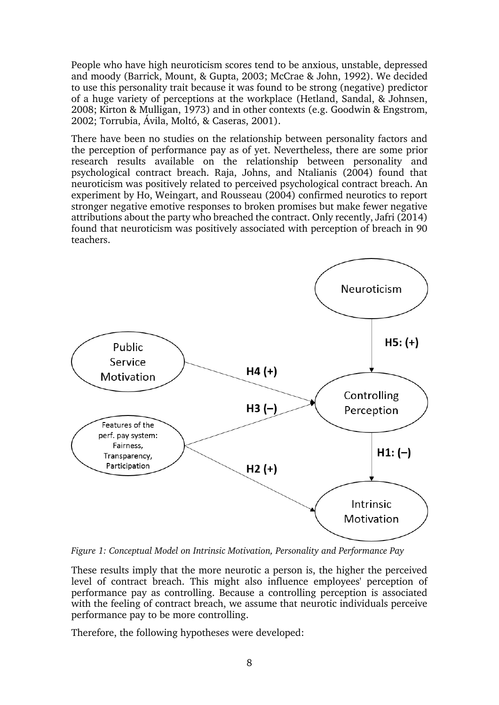People who have high neuroticism scores tend to be anxious, unstable, depressed and moody (Barrick, Mount, & Gupta, 2003; McCrae & John, 1992). We decided to use this personality trait because it was found to be strong (negative) predictor of a huge variety of perceptions at the workplace (Hetland, Sandal, & Johnsen, 2008; Kirton & Mulligan, 1973) and in other contexts (e.g. Goodwin & Engstrom, 2002; Torrubia, Ávila, Moltó, & Caseras, 2001).

There have been no studies on the relationship between personality factors and the perception of performance pay as of yet. Nevertheless, there are some prior research results available on the relationship between personality and psychological contract breach. Raja, Johns, and Ntalianis (2004) found that neuroticism was positively related to perceived psychological contract breach. An experiment by Ho, Weingart, and Rousseau (2004) confirmed neurotics to report stronger negative emotive responses to broken promises but make fewer negative attributions about the party who breached the contract. Only recently, Jafri (2014) found that neuroticism was positively associated with perception of breach in 90 teachers.



*Figure 1: Conceptual Model on Intrinsic Motivation, Personality and Performance Pay*

These results imply that the more neurotic a person is, the higher the perceived level of contract breach. This might also influence employees' perception of performance pay as controlling. Because a controlling perception is associated with the feeling of contract breach, we assume that neurotic individuals perceive performance pay to be more controlling.

Therefore, the following hypotheses were developed: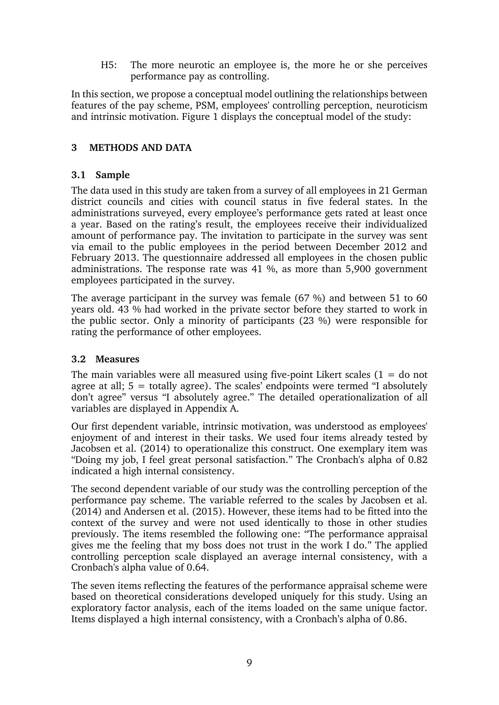H5: The more neurotic an employee is, the more he or she perceives performance pay as controlling.

In this section, we propose a conceptual model outlining the relationships between features of the pay scheme, PSM, employees' controlling perception, neuroticism and intrinsic motivation. Figure 1 displays the conceptual model of the study:

# **3 METHODS AND DATA**

#### **3.1 Sample**

The data used in this study are taken from a survey of all employees in 21 German district councils and cities with council status in five federal states. In the administrations surveyed, every employee's performance gets rated at least once a year. Based on the rating's result, the employees receive their individualized amount of performance pay. The invitation to participate in the survey was sent via email to the public employees in the period between December 2012 and February 2013. The questionnaire addressed all employees in the chosen public administrations. The response rate was 41 %, as more than 5,900 government employees participated in the survey.

The average participant in the survey was female (67 %) and between 51 to 60 years old. 43 % had worked in the private sector before they started to work in the public sector. Only a minority of participants (23 %) were responsible for rating the performance of other employees.

#### **3.2 Measures**

The main variables were all measured using five-point Likert scales  $(1 = do not$ agree at all;  $5 =$  totally agree). The scales' endpoints were termed "I absolutely don't agree" versus "I absolutely agree." The detailed operationalization of all variables are displayed in Appendix A.

Our first dependent variable, intrinsic motivation, was understood as employees' enjoyment of and interest in their tasks. We used four items already tested by Jacobsen et al. (2014) to operationalize this construct. One exemplary item was "Doing my job, I feel great personal satisfaction." The Cronbach's alpha of 0.82 indicated a high internal consistency.

The second dependent variable of our study was the controlling perception of the performance pay scheme. The variable referred to the scales by Jacobsen et al. (2014) and Andersen et al. (2015). However, these items had to be fitted into the context of the survey and were not used identically to those in other studies previously. The items resembled the following one: "The performance appraisal gives me the feeling that my boss does not trust in the work I do." The applied controlling perception scale displayed an average internal consistency, with a Cronbach's alpha value of 0.64.

The seven items reflecting the features of the performance appraisal scheme were based on theoretical considerations developed uniquely for this study. Using an exploratory factor analysis, each of the items loaded on the same unique factor. Items displayed a high internal consistency, with a Cronbach's alpha of 0.86.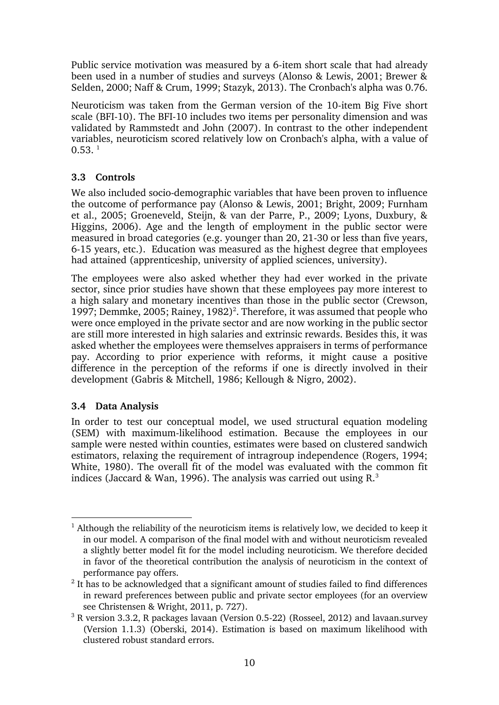Public service motivation was measured by a 6-item short scale that had already been used in a number of studies and surveys (Alonso & Lewis, 2001; Brewer & Selden, 2000; Naff & Crum, 1999; Stazyk, 2013). The Cronbach's alpha was 0.76.

Neuroticism was taken from the German version of the 10-item Big Five short scale (BFI-10). The BFI-10 includes two items per personality dimension and was validated by Rammstedt and John (2007). In contrast to the other independent variables, neuroticism scored relatively low on Cronbach's alpha, with a value of  $0.53.^1$ 

# **3.3 Controls**

We also included socio-demographic variables that have been proven to influence the outcome of performance pay (Alonso & Lewis, 2001; Bright, 2009; Furnham et al., 2005; Groeneveld, Steijn, & van der Parre, P., 2009; Lyons, Duxbury, & Higgins, 2006). Age and the length of employment in the public sector were measured in broad categories (e.g. younger than 20, 21-30 or less than five years, 6-15 years, etc.). Education was measured as the highest degree that employees had attained (apprenticeship, university of applied sciences, university).

The employees were also asked whether they had ever worked in the private sector, since prior studies have shown that these employees pay more interest to a high salary and monetary incentives than those in the public sector (Crewson, 1997; Demmke, 2005; Rainey, 1982)<sup>2</sup>. Therefore, it was assumed that people who were once employed in the private sector and are now working in the public sector are still more interested in high salaries and extrinsic rewards. Besides this, it was asked whether the employees were themselves appraisers in terms of performance pay. According to prior experience with reforms, it might cause a positive difference in the perception of the reforms if one is directly involved in their development (Gabris & Mitchell, 1986; Kellough & Nigro, 2002).

# **3.4 Data Analysis**

1

In order to test our conceptual model, we used structural equation modeling (SEM) with maximum-likelihood estimation. Because the employees in our sample were nested within counties, estimates were based on clustered sandwich estimators, relaxing the requirement of intragroup independence (Rogers, 1994; White, 1980). The overall fit of the model was evaluated with the common fit indices (Jaccard & Wan, 1996). The analysis was carried out using  $R<sup>3</sup>$ 

 $1$  Although the reliability of the neuroticism items is relatively low, we decided to keep it in our model. A comparison of the final model with and without neuroticism revealed a slightly better model fit for the model including neuroticism. We therefore decided in favor of the theoretical contribution the analysis of neuroticism in the context of performance pay offers.

 $2$  It has to be acknowledged that a significant amount of studies failed to find differences in reward preferences between public and private sector employees (for an overview see Christensen & Wright, 2011, p. 727).

<sup>&</sup>lt;sup>3</sup> R version 3.3.2, R packages lavaan (Version 0.5-22) (Rosseel, 2012) and lavaan.survey (Version 1.1.3) (Oberski, 2014). Estimation is based on maximum likelihood with clustered robust standard errors.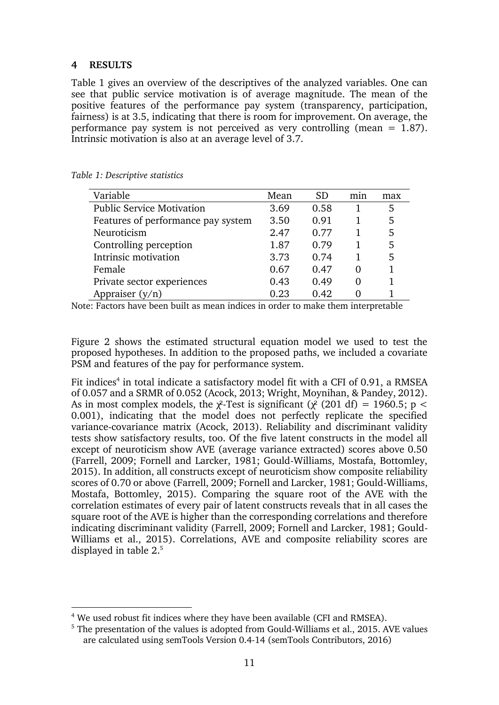#### **4 RESULTS**

1

Table 1 gives an overview of the descriptives of the analyzed variables. One can see that public service motivation is of average magnitude. The mean of the positive features of the performance pay system (transparency, participation, fairness) is at 3.5, indicating that there is room for improvement. On average, the performance pay system is not perceived as very controlling (mean  $= 1.87$ ). Intrinsic motivation is also at an average level of 3.7.

| Variable                           | Mean | SD   | m <sub>1</sub> n | max |
|------------------------------------|------|------|------------------|-----|
| <b>Public Service Motivation</b>   | 3.69 | 0.58 |                  | 5   |
| Features of performance pay system | 3.50 | 0.91 |                  | 5   |
| Neuroticism                        | 2.47 | 0.77 |                  | 5   |
| Controlling perception             | 1.87 | 0.79 |                  | 5   |
| Intrinsic motivation               | 3.73 | 0.74 |                  | 5   |
| Female                             | 0.67 | 0.47 |                  |     |
| Private sector experiences         | 0.43 | 0.49 |                  |     |
| Appraiser $(y/n)$                  | 0.23 | 0.42 |                  |     |

*Table 1: Descriptive statistics*

Note: Factors have been built as mean indices in order to make them interpretable

Figure 2 shows the estimated structural equation model we used to test the proposed hypotheses. In addition to the proposed paths, we included a covariate PSM and features of the pay for performance system.

Fit indices<sup>4</sup> in total indicate a satisfactory model fit with a CFI of 0.91, a RMSEA of 0.057 and a SRMR of 0.052 (Acock, 2013; Wright, Moynihan, & Pandey, 2012). As in most complex models, the  $\chi^2$ -Test is significant ( $\chi^2$  (201 df) = 1960.5; p < 0.001), indicating that the model does not perfectly replicate the specified variance-covariance matrix (Acock, 2013). Reliability and discriminant validity tests show satisfactory results, too. Of the five latent constructs in the model all except of neuroticism show AVE (average variance extracted) scores above 0.50 (Farrell, 2009; Fornell and Larcker, 1981; Gould-Williams, Mostafa, Bottomley, 2015). In addition, all constructs except of neuroticism show composite reliability scores of 0.70 or above (Farrell, 2009; Fornell and Larcker, 1981; Gould-Williams, Mostafa, Bottomley, 2015). Comparing the square root of the AVE with the correlation estimates of every pair of latent constructs reveals that in all cases the square root of the AVE is higher than the corresponding correlations and therefore indicating discriminant validity (Farrell, 2009; Fornell and Larcker, 1981; Gould-Williams et al., 2015). Correlations, AVE and composite reliability scores are displayed in table 2. 5

<sup>&</sup>lt;sup>4</sup> We used robust fit indices where they have been available (CFI and RMSEA).

<sup>&</sup>lt;sup>5</sup> The presentation of the values is adopted from Gould-Williams et al., 2015. AVE values are calculated using semTools Version 0.4-14 (semTools Contributors, 2016)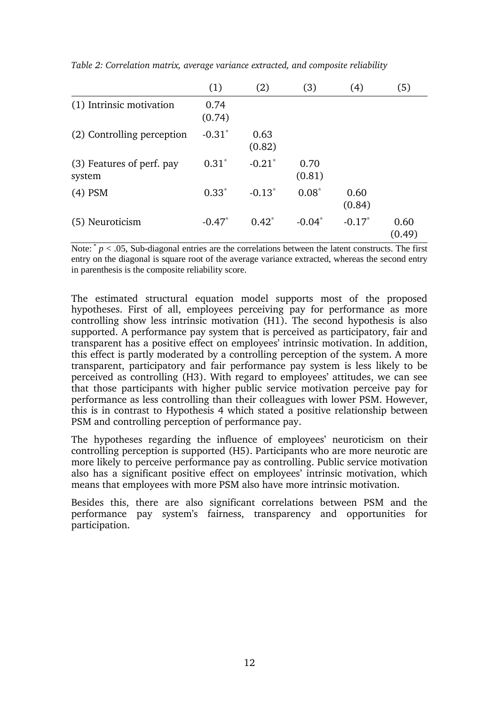|                                     | (1)            | (2)            | (3)            | (4)            | (5)            |
|-------------------------------------|----------------|----------------|----------------|----------------|----------------|
| (1) Intrinsic motivation            | 0.74<br>(0.74) |                |                |                |                |
| (2) Controlling perception          | $-0.31*$       | 0.63<br>(0.82) |                |                |                |
| (3) Features of perf. pay<br>system | $0.31*$        | $-0.21*$       | 0.70<br>(0.81) |                |                |
| $(4)$ PSM                           | $0.33*$        | $-0.13^*$      | $0.08*$        | 0.60<br>(0.84) |                |
| (5) Neuroticism                     | $-0.47*$       | $0.42^*$       | $-0.04*$       | $-0.17*$       | 0.60<br>(0.49) |

*Table 2: Correlation matrix, average variance extracted, and composite reliability*

Note: \* *p* < .05, Sub-diagonal entries are the correlations between the latent constructs. The first entry on the diagonal is square root of the average variance extracted, whereas the second entry in parenthesis is the composite reliability score.

The estimated structural equation model supports most of the proposed hypotheses. First of all, employees perceiving pay for performance as more controlling show less intrinsic motivation (H1). The second hypothesis is also supported. A performance pay system that is perceived as participatory, fair and transparent has a positive effect on employees' intrinsic motivation. In addition, this effect is partly moderated by a controlling perception of the system. A more transparent, participatory and fair performance pay system is less likely to be perceived as controlling (H3). With regard to employees' attitudes, we can see that those participants with higher public service motivation perceive pay for performance as less controlling than their colleagues with lower PSM. However, this is in contrast to Hypothesis 4 which stated a positive relationship between PSM and controlling perception of performance pay.

The hypotheses regarding the influence of employees' neuroticism on their controlling perception is supported (H5). Participants who are more neurotic are more likely to perceive performance pay as controlling. Public service motivation also has a significant positive effect on employees' intrinsic motivation, which means that employees with more PSM also have more intrinsic motivation.

Besides this, there are also significant correlations between PSM and the performance pay system's fairness, transparency and opportunities for participation.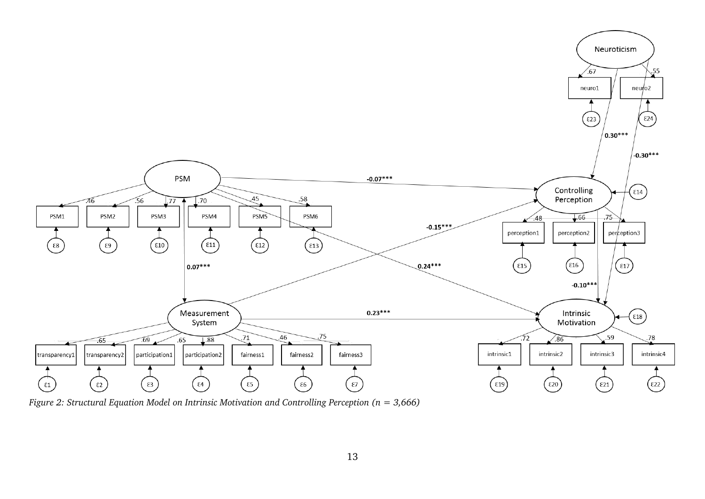

*Figure 2: Structural Equation Model on Intrinsic Motivation and Controlling Perception (n = 3,666)*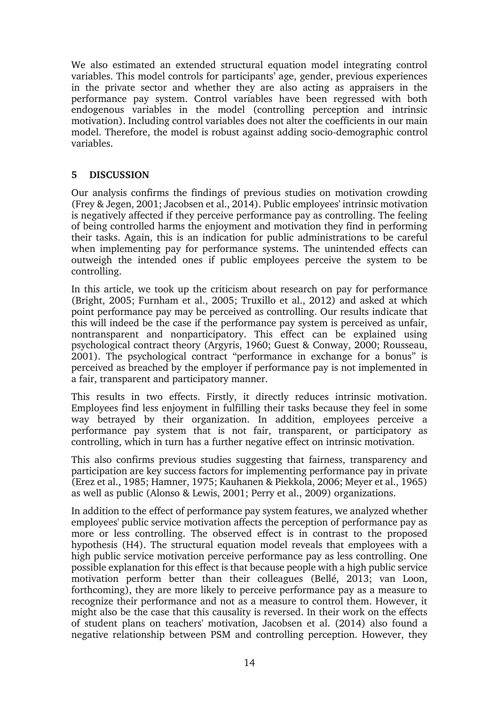We also estimated an extended structural equation model integrating control variables. This model controls for participants' age, gender, previous experiences in the private sector and whether they are also acting as appraisers in the performance pay system. Control variables have been regressed with both endogenous variables in the model (controlling perception and intrinsic motivation). Including control variables does not alter the coefficients in our main model. Therefore, the model is robust against adding socio-demographic control variables.

### **5 DISCUSSION**

Our analysis confirms the findings of previous studies on motivation crowding (Frey & Jegen, 2001; Jacobsen et al., 2014). Public employees' intrinsic motivation is negatively affected if they perceive performance pay as controlling. The feeling of being controlled harms the enjoyment and motivation they find in performing their tasks. Again, this is an indication for public administrations to be careful when implementing pay for performance systems. The unintended effects can outweigh the intended ones if public employees perceive the system to be controlling.

In this article, we took up the criticism about research on pay for performance (Bright, 2005; Furnham et al., 2005; Truxillo et al., 2012) and asked at which point performance pay may be perceived as controlling. Our results indicate that this will indeed be the case if the performance pay system is perceived as unfair, nontransparent and nonparticipatory. This effect can be explained using psychological contract theory (Argyris, 1960; Guest & Conway, 2000; Rousseau, 2001). The psychological contract "performance in exchange for a bonus" is perceived as breached by the employer if performance pay is not implemented in a fair, transparent and participatory manner.

This results in two effects. Firstly, it directly reduces intrinsic motivation. Employees find less enjoyment in fulfilling their tasks because they feel in some way betrayed by their organization. In addition, employees perceive a performance pay system that is not fair, transparent, or participatory as controlling, which in turn has a further negative effect on intrinsic motivation.

This also confirms previous studies suggesting that fairness, transparency and participation are key success factors for implementing performance pay in private (Erez et al., 1985; Hamner, 1975; Kauhanen & Piekkola, 2006; Meyer et al., 1965) as well as public (Alonso & Lewis, 2001; Perry et al., 2009) organizations.

In addition to the effect of performance pay system features, we analyzed whether employees' public service motivation affects the perception of performance pay as more or less controlling. The observed effect is in contrast to the proposed hypothesis (H4). The structural equation model reveals that employees with a high public service motivation perceive performance pay as less controlling. One possible explanation for this effect is that because people with a high public service motivation perform better than their colleagues (Bellé, 2013; van Loon, forthcoming), they are more likely to perceive performance pay as a measure to recognize their performance and not as a measure to control them. However, it might also be the case that this causality is reversed. In their work on the effects of student plans on teachers' motivation, Jacobsen et al. (2014) also found a negative relationship between PSM and controlling perception. However, they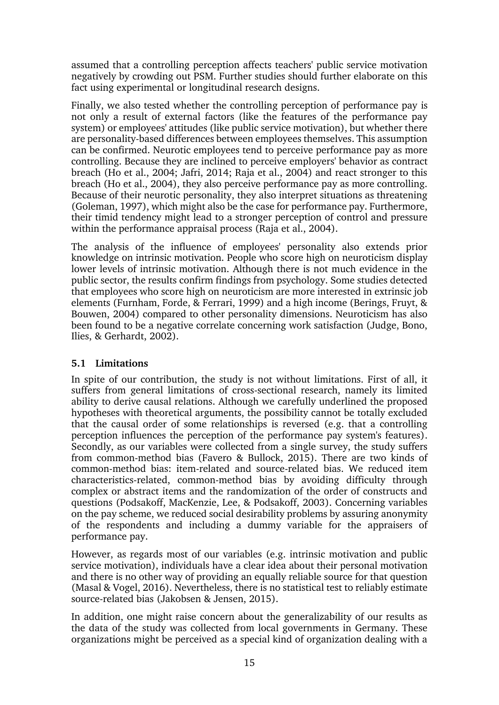assumed that a controlling perception affects teachers' public service motivation negatively by crowding out PSM. Further studies should further elaborate on this fact using experimental or longitudinal research designs.

Finally, we also tested whether the controlling perception of performance pay is not only a result of external factors (like the features of the performance pay system) or employees' attitudes (like public service motivation), but whether there are personality-based differences between employees themselves. This assumption can be confirmed. Neurotic employees tend to perceive performance pay as more controlling. Because they are inclined to perceive employers' behavior as contract breach (Ho et al., 2004; Jafri, 2014; Raja et al., 2004) and react stronger to this breach (Ho et al., 2004), they also perceive performance pay as more controlling. Because of their neurotic personality, they also interpret situations as threatening (Goleman, 1997), which might also be the case for performance pay. Furthermore, their timid tendency might lead to a stronger perception of control and pressure within the performance appraisal process (Raja et al., 2004).

The analysis of the influence of employees' personality also extends prior knowledge on intrinsic motivation. People who score high on neuroticism display lower levels of intrinsic motivation. Although there is not much evidence in the public sector, the results confirm findings from psychology. Some studies detected that employees who score high on neuroticism are more interested in extrinsic job elements (Furnham, Forde, & Ferrari, 1999) and a high income (Berings, Fruyt, & Bouwen, 2004) compared to other personality dimensions. Neuroticism has also been found to be a negative correlate concerning work satisfaction (Judge, Bono, Ilies, & Gerhardt, 2002).

# **5.1 Limitations**

In spite of our contribution, the study is not without limitations. First of all, it suffers from general limitations of cross-sectional research, namely its limited ability to derive causal relations. Although we carefully underlined the proposed hypotheses with theoretical arguments, the possibility cannot be totally excluded that the causal order of some relationships is reversed (e.g. that a controlling perception influences the perception of the performance pay system's features). Secondly, as our variables were collected from a single survey, the study suffers from common-method bias (Favero & Bullock, 2015). There are two kinds of common-method bias: item-related and source-related bias. We reduced item characteristics-related, common-method bias by avoiding difficulty through complex or abstract items and the randomization of the order of constructs and questions (Podsakoff, MacKenzie, Lee, & Podsakoff, 2003). Concerning variables on the pay scheme, we reduced social desirability problems by assuring anonymity of the respondents and including a dummy variable for the appraisers of performance pay.

However, as regards most of our variables (e.g. intrinsic motivation and public service motivation), individuals have a clear idea about their personal motivation and there is no other way of providing an equally reliable source for that question (Masal & Vogel, 2016). Nevertheless, there is no statistical test to reliably estimate source-related bias (Jakobsen & Jensen, 2015).

In addition, one might raise concern about the generalizability of our results as the data of the study was collected from local governments in Germany. These organizations might be perceived as a special kind of organization dealing with a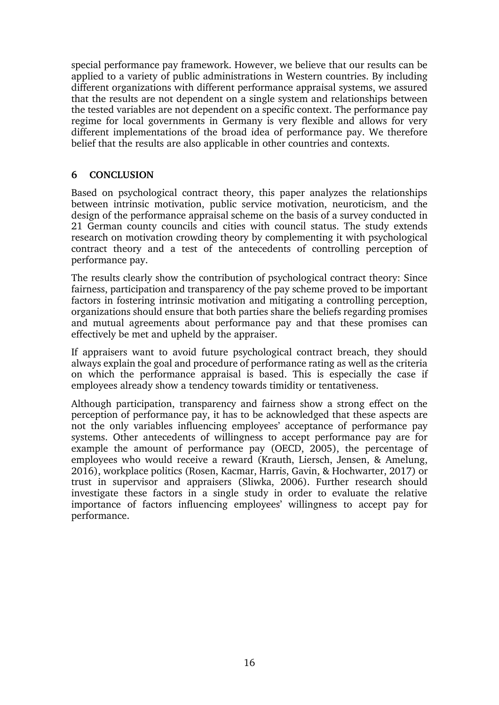special performance pay framework. However, we believe that our results can be applied to a variety of public administrations in Western countries. By including different organizations with different performance appraisal systems, we assured that the results are not dependent on a single system and relationships between the tested variables are not dependent on a specific context. The performance pay regime for local governments in Germany is very flexible and allows for very different implementations of the broad idea of performance pay. We therefore belief that the results are also applicable in other countries and contexts.

### **6 CONCLUSION**

Based on psychological contract theory, this paper analyzes the relationships between intrinsic motivation, public service motivation, neuroticism, and the design of the performance appraisal scheme on the basis of a survey conducted in 21 German county councils and cities with council status. The study extends research on motivation crowding theory by complementing it with psychological contract theory and a test of the antecedents of controlling perception of performance pay.

The results clearly show the contribution of psychological contract theory: Since fairness, participation and transparency of the pay scheme proved to be important factors in fostering intrinsic motivation and mitigating a controlling perception, organizations should ensure that both parties share the beliefs regarding promises and mutual agreements about performance pay and that these promises can effectively be met and upheld by the appraiser.

If appraisers want to avoid future psychological contract breach, they should always explain the goal and procedure of performance rating as well as the criteria on which the performance appraisal is based. This is especially the case if employees already show a tendency towards timidity or tentativeness.

Although participation, transparency and fairness show a strong effect on the perception of performance pay, it has to be acknowledged that these aspects are not the only variables influencing employees' acceptance of performance pay systems. Other antecedents of willingness to accept performance pay are for example the amount of performance pay (OECD, 2005), the percentage of employees who would receive a reward (Krauth, Liersch, Jensen, & Amelung, 2016), workplace politics (Rosen, Kacmar, Harris, Gavin, & Hochwarter, 2017) or trust in supervisor and appraisers (Sliwka, 2006). Further research should investigate these factors in a single study in order to evaluate the relative importance of factors influencing employees' willingness to accept pay for performance.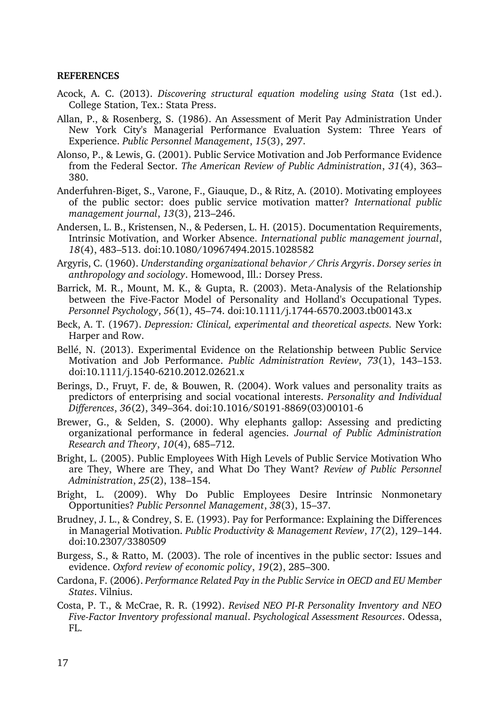#### **REFERENCES**

- Acock, A. C. (2013). *Discovering structural equation modeling using Stata* (1st ed.). College Station, Tex.: Stata Press.
- Allan, P., & Rosenberg, S. (1986). An Assessment of Merit Pay Administration Under New York City's Managerial Performance Evaluation System: Three Years of Experience. *Public Personnel Management*, *15*(3), 297.
- Alonso, P., & Lewis, G. (2001). Public Service Motivation and Job Performance Evidence from the Federal Sector. *The American Review of Public Administration*, *31*(4), 363– 380.
- Anderfuhren-Biget, S., Varone, F., Giauque, D., & Ritz, A. (2010). Motivating employees of the public sector: does public service motivation matter? *International public management journal*, *13*(3), 213–246.
- Andersen, L. B., Kristensen, N., & Pedersen, L. H. (2015). Documentation Requirements, Intrinsic Motivation, and Worker Absence. *International public management journal*, *18*(4), 483–513. doi:10.1080/10967494.2015.1028582
- Argyris, C. (1960). *Understanding organizational behavior / Chris Argyris*. *Dorsey series in anthropology and sociology*. Homewood, Ill.: Dorsey Press.
- Barrick, M. R., Mount, M. K., & Gupta, R. (2003). Meta-Analysis of the Relationship between the Five-Factor Model of Personality and Holland's Occupational Types. *Personnel Psychology*, *56*(1), 45–74. doi:10.1111/j.1744-6570.2003.tb00143.x
- Beck, A. T. (1967). *Depression: Clinical, experimental and theoretical aspects.* New York: Harper and Row.
- Bellé, N. (2013). Experimental Evidence on the Relationship between Public Service Motivation and Job Performance. *Public Administration Review*, *73*(1), 143–153. doi:10.1111/j.1540-6210.2012.02621.x
- Berings, D., Fruyt, F. de, & Bouwen, R. (2004). Work values and personality traits as predictors of enterprising and social vocational interests. *Personality and Individual Differences*, *36*(2), 349–364. doi:10.1016/S0191-8869(03)00101-6
- Brewer, G., & Selden, S. (2000). Why elephants gallop: Assessing and predicting organizational performance in federal agencies. *Journal of Public Administration Research and Theory*, *10*(4), 685–712.
- Bright, L. (2005). Public Employees With High Levels of Public Service Motivation Who are They, Where are They, and What Do They Want? *Review of Public Personnel Administration*, *25*(2), 138–154.
- Bright, L. (2009). Why Do Public Employees Desire Intrinsic Nonmonetary Opportunities? *Public Personnel Management*, *38*(3), 15–37.
- Brudney, J. L., & Condrey, S. E. (1993). Pay for Performance: Explaining the Differences in Managerial Motivation. *Public Productivity & Management Review*, *17*(2), 129–144. doi:10.2307/3380509
- Burgess, S., & Ratto, M. (2003). The role of incentives in the public sector: Issues and evidence. *Oxford review of economic policy*, *19*(2), 285–300.
- Cardona, F. (2006). *Performance Related Pay in the Public Service in OECD and EU Member States*. Vilnius.
- Costa, P. T., & McCrae, R. R. (1992). *Revised NEO PI-R Personality Inventory and NEO Five-Factor Inventory professional manual*. *Psychological Assessment Resources*. Odessa, FL.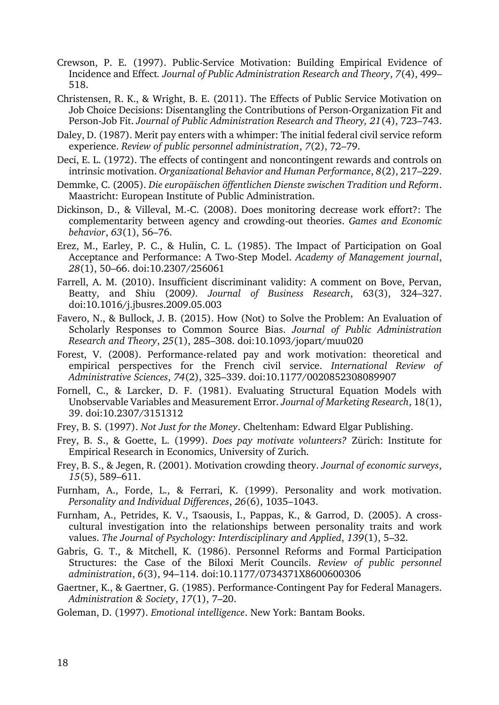- Crewson, P. E. (1997). Public-Service Motivation: Building Empirical Evidence of Incidence and Effect*. Journal of Public Administration Research and Theory*, *7*(4), 499– 518.
- Christensen, R. K., & Wright, B. E. (2011). The Effects of Public Service Motivation on Job Choice Decisions: Disentangling the Contributions of Person-Organization Fit and Person-Job Fit. *Journal of Public Administration Research and Theory, 21*(4), 723–743.
- Daley, D. (1987). Merit pay enters with a whimper: The initial federal civil service reform experience. *Review of public personnel administration*, *7*(2), 72–79.
- Deci, E. L. (1972). The effects of contingent and noncontingent rewards and controls on intrinsic motivation. *Organizational Behavior and Human Performance*, *8*(2), 217–229.
- Demmke, C. (2005). *Die europäischen öffentlichen Dienste zwischen Tradition und Reform*. Maastricht: European Institute of Public Administration.
- Dickinson, D., & Villeval, M.-C. (2008). Does monitoring decrease work effort?: The complementarity between agency and crowding-out theories. *Games and Economic behavior*, *63*(1), 56–76.
- Erez, M., Earley, P. C., & Hulin, C. L. (1985). The Impact of Participation on Goal Acceptance and Performance: A Two-Step Model. *Academy of Management journal*, *28*(1), 50–66. doi:10.2307/256061
- Farrell, A. M. (2010). Insufficient discriminant validity: A comment on Bove, Pervan, Beatty, and Shiu (2009*). Journal of Business Research*, 63(3), 324–327. doi:10.1016/j.jbusres.2009.05.003
- Favero, N., & Bullock, J. B. (2015). How (Not) to Solve the Problem: An Evaluation of Scholarly Responses to Common Source Bias. *Journal of Public Administration Research and Theory*, *25*(1), 285–308. doi:10.1093/jopart/muu020
- Forest, V. (2008). Performance-related pay and work motivation: theoretical and empirical perspectives for the French civil service. *International Review of Administrative Sciences*, *74*(2), 325–339. doi:10.1177/0020852308089907
- Fornell, C., & Larcker, D. F. (1981). Evaluating Structural Equation Models with Unobservable Variables and Measurement Error. *Journal of Marketing Research*, 18(1), 39. doi:10.2307/3151312
- Frey, B. S. (1997). *Not Just for the Money*. Cheltenham: Edward Elgar Publishing.
- Frey, B. S., & Goette, L. (1999). *Does pay motivate volunteers?* Zürich: Institute for Empirical Research in Economics, University of Zurich.
- Frey, B. S., & Jegen, R. (2001). Motivation crowding theory. *Journal of economic surveys*, *15*(5), 589–611.
- Furnham, A., Forde, L., & Ferrari, K. (1999). Personality and work motivation. *Personality and Individual Differences*, *26*(6), 1035–1043.
- Furnham, A., Petrides, K. V., Tsaousis, I., Pappas, K., & Garrod, D. (2005). A crosscultural investigation into the relationships between personality traits and work values. *The Journal of Psychology: Interdisciplinary and Applied*, *139*(1), 5–32.
- Gabris, G. T., & Mitchell, K. (1986). Personnel Reforms and Formal Participation Structures: the Case of the Biloxi Merit Councils. *Review of public personnel administration*, *6*(3), 94–114. doi:10.1177/0734371X8600600306
- Gaertner, K., & Gaertner, G. (1985). Performance-Contingent Pay for Federal Managers. *Administration & Society*, *17*(1), 7–20.
- Goleman, D. (1997). *Emotional intelligence*. New York: Bantam Books.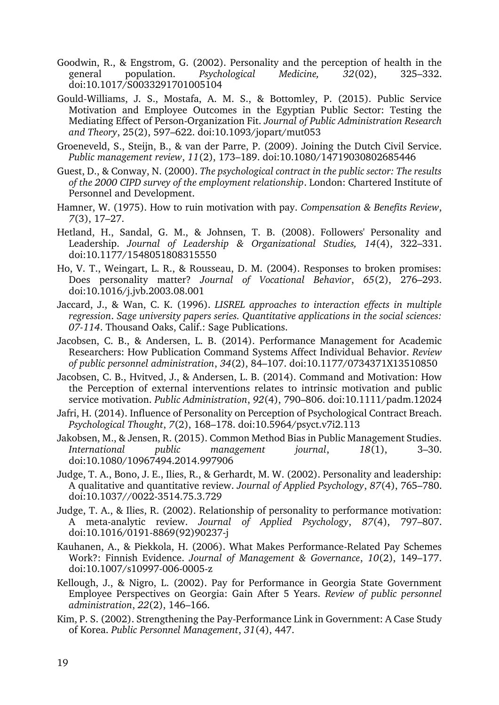- Goodwin, R., & Engstrom, G. (2002). Personality and the perception of health in the general population. *Psychological Medicine, 32*(02), 325–332. doi:10.1017/S0033291701005104
- Gould-Williams, J. S., Mostafa, A. M. S., & Bottomley, P. (2015). Public Service Motivation and Employee Outcomes in the Egyptian Public Sector: Testing the Mediating Effect of Person-Organization Fit. *Journal of Public Administration Research and Theory*, 25(2), 597–622. doi:10.1093/jopart/mut053
- Groeneveld, S., Steijn, B., & van der Parre, P. (2009). Joining the Dutch Civil Service. *Public management review*, *11*(2), 173–189. doi:10.1080/14719030802685446
- Guest, D., & Conway, N. (2000). *The psychological contract in the public sector: The results of the 2000 CIPD survey of the employment relationship*. London: Chartered Institute of Personnel and Development.
- Hamner, W. (1975). How to ruin motivation with pay. *Compensation & Benefits Review*, *7*(3), 17–27.
- Hetland, H., Sandal, G. M., & Johnsen, T. B. (2008). Followers' Personality and Leadership. *Journal of Leadership & Organizational Studies, 14*(4), 322–331. doi:10.1177/1548051808315550
- Ho, V. T., Weingart, L. R., & Rousseau, D. M. (2004). Responses to broken promises: Does personality matter? *Journal of Vocational Behavior*, *65*(2), 276–293. doi:10.1016/j.jvb.2003.08.001
- Jaccard, J., & Wan, C. K. (1996). *LISREL approaches to interaction effects in multiple regression*. *Sage university papers series. Quantitative applications in the social sciences: 07-114*. Thousand Oaks, Calif.: Sage Publications.
- Jacobsen, C. B., & Andersen, L. B. (2014). Performance Management for Academic Researchers: How Publication Command Systems Affect Individual Behavior. *Review of public personnel administration*, *34*(2), 84–107. doi:10.1177/0734371X13510850
- Jacobsen, C. B., Hvitved, J., & Andersen, L. B. (2014). Command and Motivation: How the Perception of external interventions relates to intrinsic motivation and public service motivation. *Public Administration*, *92*(4), 790–806. doi:10.1111/padm.12024
- Jafri, H. (2014). Influence of Personality on Perception of Psychological Contract Breach. *Psychological Thought*, *7*(2), 168–178. doi:10.5964/psyct.v7i2.113
- Jakobsen, M., & Jensen, R. (2015). Common Method Bias in Public Management Studies. *International public management journal*, *18*(1), 3–30. doi:10.1080/10967494.2014.997906
- Judge, T. A., Bono, J. E., Ilies, R., & Gerhardt, M. W. (2002). Personality and leadership: A qualitative and quantitative review. *Journal of Applied Psychology*, *87*(4), 765–780. doi:10.1037//0022-3514.75.3.729
- Judge, T. A., & Ilies, R. (2002). Relationship of personality to performance motivation: A meta-analytic review. *Journal of Applied Psychology*, *87*(4), 797–807. doi:10.1016/0191-8869(92)90237-j
- Kauhanen, A., & Piekkola, H. (2006). What Makes Performance-Related Pay Schemes Work?: Finnish Evidence. *Journal of Management & Governance*, *10*(2), 149–177. doi:10.1007/s10997-006-0005-z
- Kellough, J., & Nigro, L. (2002). Pay for Performance in Georgia State Government Employee Perspectives on Georgia: Gain After 5 Years. *Review of public personnel administration*, *22*(2), 146–166.
- Kim, P. S. (2002). Strengthening the Pay-Performance Link in Government: A Case Study of Korea. *Public Personnel Management*, *31*(4), 447.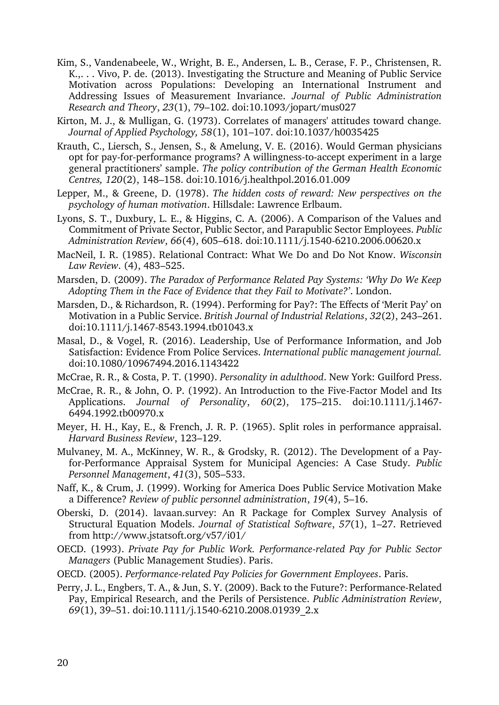- Kim, S., Vandenabeele, W., Wright, B. E., Andersen, L. B., Cerase, F. P., Christensen, R. K.,. . . Vivo, P. de. (2013). Investigating the Structure and Meaning of Public Service Motivation across Populations: Developing an International Instrument and Addressing Issues of Measurement Invariance. *Journal of Public Administration Research and Theory*, *23*(1), 79–102. doi:10.1093/jopart/mus027
- Kirton, M. J., & Mulligan, G. (1973). Correlates of managers' attitudes toward change*. Journal of Applied Psychology, 58*(1), 101–107. doi:10.1037/h0035425
- Krauth, C., Liersch, S., Jensen, S., & Amelung, V. E. (2016). Would German physicians opt for pay-for-performance programs? A willingness-to-accept experiment in a large general practitioners' sample. *The policy contribution of the German Health Economic Centres, 120*(2), 148–158. doi:10.1016/j.healthpol.2016.01.009
- Lepper, M., & Greene, D. (1978). *The hidden costs of reward: New perspectives on the psychology of human motivation*. Hillsdale: Lawrence Erlbaum.
- Lyons, S. T., Duxbury, L. E., & Higgins, C. A. (2006). A Comparison of the Values and Commitment of Private Sector, Public Sector, and Parapublic Sector Employees. *Public Administration Review*, *66*(4), 605–618. doi:10.1111/j.1540-6210.2006.00620.x
- MacNeil, I. R. (1985). Relational Contract: What We Do and Do Not Know. *Wisconsin Law Review*. (4), 483–525.
- Marsden, D. (2009). *The Paradox of Performance Related Pay Systems: 'Why Do We Keep Adopting Them in the Face of Evidence that they Fail to Motivate?'*. London.
- Marsden, D., & Richardson, R. (1994). Performing for Pay?: The Effects of 'Merit Pay' on Motivation in a Public Service. *British Journal of Industrial Relations*, *32*(2), 243–261. doi:10.1111/j.1467-8543.1994.tb01043.x
- Masal, D., & Vogel, R. (2016). Leadership, Use of Performance Information, and Job Satisfaction: Evidence From Police Services. *International public management journal.*  doi:10.1080/10967494.2016.1143422
- McCrae, R. R., & Costa, P. T. (1990). *Personality in adulthood*. New York: Guilford Press.
- McCrae, R. R., & John, O. P. (1992). An Introduction to the Five-Factor Model and Its Applications. *Journal of Personality*, *60*(2), 175–215. doi:10.1111/j.1467- 6494.1992.tb00970.x
- Meyer, H. H., Kay, E., & French, J. R. P. (1965). Split roles in performance appraisal. *Harvard Business Review*, 123–129.
- Mulvaney, M. A., McKinney, W. R., & Grodsky, R. (2012). The Development of a Payfor-Performance Appraisal System for Municipal Agencies: A Case Study. *Public Personnel Management*, *41*(3), 505–533.
- Naff, K., & Crum, J. (1999). Working for America Does Public Service Motivation Make a Difference? *Review of public personnel administration*, *19*(4), 5–16.
- Oberski, D. (2014). lavaan.survey: An R Package for Complex Survey Analysis of Structural Equation Models. *Journal of Statistical Software*, *57*(1), 1–27. Retrieved from http://www.jstatsoft.org/v57/i01/
- OECD. (1993). *Private Pay for Public Work. Performance-related Pay for Public Sector Managers* (Public Management Studies). Paris.
- OECD. (2005). *Performance-related Pay Policies for Government Employees*. Paris.
- Perry, J. L., Engbers, T. A., & Jun, S. Y. (2009). Back to the Future?: Performance-Related Pay, Empirical Research, and the Perils of Persistence. *Public Administration Review*, *69*(1), 39–51. doi:10.1111/j.1540-6210.2008.01939\_2.x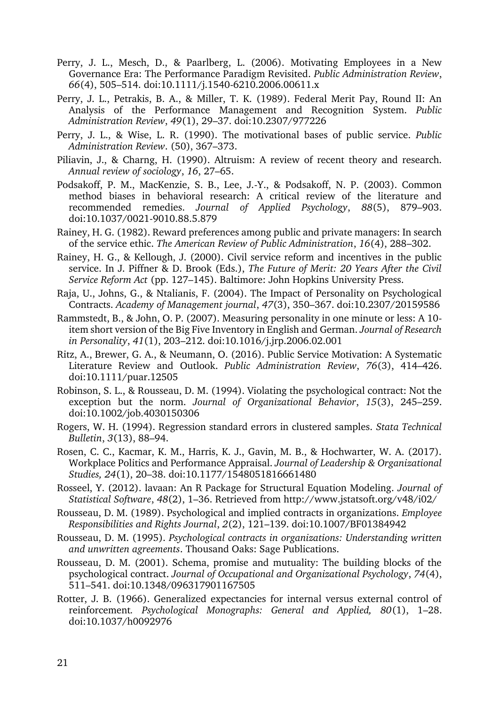- Perry, J. L., Mesch, D., & Paarlberg, L. (2006). Motivating Employees in a New Governance Era: The Performance Paradigm Revisited. *Public Administration Review*, *66*(4), 505–514. doi:10.1111/j.1540-6210.2006.00611.x
- Perry, J. L., Petrakis, B. A., & Miller, T. K. (1989). Federal Merit Pay, Round II: An Analysis of the Performance Management and Recognition System. *Public Administration Review*, *49*(1), 29–37. doi:10.2307/977226
- <span id="page-20-0"></span>Perry, J. L., & Wise, L. R. (1990). The motivational bases of public service. *Public Administration Review*. (50), 367–373.
- Piliavin, J., & Charng, H. (1990). Altruism: A review of recent theory and research. *Annual review of sociology*, *16*, 27–65.
- Podsakoff, P. M., MacKenzie, S. B., Lee, J.-Y., & Podsakoff, N. P. (2003). Common method biases in behavioral research: A critical review of the literature and recommended remedies. *Journal of Applied Psychology*, *88*(5), 879–903. doi:10.1037/0021-9010.88.5.879
- Rainey, H. G. (1982). Reward preferences among public and private managers: In search of the service ethic. *The American Review of Public Administration*, *16*(4), 288–302.
- Rainey, H. G., & Kellough, J. (2000). Civil service reform and incentives in the public service. In J. Piffner & D. Brook (Eds.), *The Future of Merit: 20 Years After the Civil Service Reform Act* (pp. 127–145). Baltimore: John Hopkins University Press.
- Raja, U., Johns, G., & Ntalianis, F. (2004). The Impact of Personality on Psychological Contracts. *Academy of Management journal*, *47*(3), 350–367. doi:10.2307/20159586
- Rammstedt, B., & John, O. P. (2007). Measuring personality in one minute or less: A 10 item short version of the Big Five Inventory in English and German. *Journal of Research in Personality*, *41*(1), 203–212. doi:10.1016/j.jrp.2006.02.001
- <span id="page-20-1"></span>Ritz, A., Brewer, G. A., & Neumann, O. (2016). Public Service Motivation: A Systematic Literature Review and Outlook. *Public Administration Review*, *76*(3), 414–426. doi:10.1111/puar.12505
- Robinson, S. L., & Rousseau, D. M. (1994). Violating the psychological contract: Not the exception but the norm. *Journal of Organizational Behavior*, *15*(3), 245–259. doi:10.1002/job.4030150306
- Rogers, W. H. (1994). Regression standard errors in clustered samples. *Stata Technical Bulletin*, *3*(13), 88–94.
- Rosen, C. C., Kacmar, K. M., Harris, K. J., Gavin, M. B., & Hochwarter, W. A. (2017). Workplace Politics and Performance Appraisal. *Journal of Leadership & Organizational Studies, 24*(1), 20–38. doi:10.1177/1548051816661480
- Rosseel, Y. (2012). lavaan: An R Package for Structural Equation Modeling. *Journal of Statistical Software*, *48*(2), 1–36. Retrieved from http://www.jstatsoft.org/v48/i02/
- Rousseau, D. M. (1989). Psychological and implied contracts in organizations. *Employee Responsibilities and Rights Journal*, *2*(2), 121–139. doi:10.1007/BF01384942
- Rousseau, D. M. (1995). *Psychological contracts in organizations: Understanding written and unwritten agreements*. Thousand Oaks: Sage Publications.
- Rousseau, D. M. (2001). Schema, promise and mutuality: The building blocks of the psychological contract. *Journal of Occupational and Organizational Psychology*, *74*(4), 511–541. doi:10.1348/096317901167505
- Rotter, J. B. (1966). Generalized expectancies for internal versus external control of reinforcement*. Psychological Monographs: General and Applied, 80*(1), 1–28. doi:10.1037/h0092976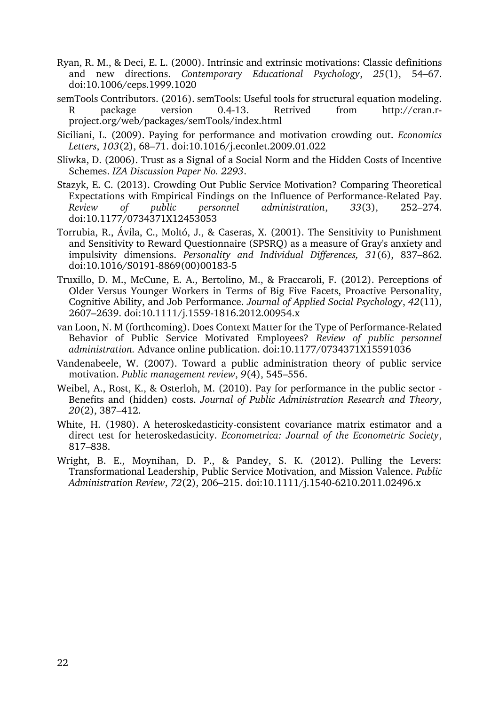- Ryan, R. M., & Deci, E. L. (2000). Intrinsic and extrinsic motivations: Classic definitions and new directions. *Contemporary Educational Psychology*, *25*(1), 54–67. doi:10.1006/ceps.1999.1020
- semTools Contributors. (2016). semTools: Useful tools for structural equation modeling. package version 0.4-13. Retrived from http://cran.rproject.org/web/packages/semTools/index.html
- Siciliani, L. (2009). Paying for performance and motivation crowding out. *Economics Letters*, *103*(2), 68–71. doi:10.1016/j.econlet.2009.01.022
- Sliwka, D. (2006). Trust as a Signal of a Social Norm and the Hidden Costs of Incentive Schemes. *IZA Discussion Paper No. 2293*.
- Stazyk, E. C. (2013). Crowding Out Public Service Motivation? Comparing Theoretical Expectations with Empirical Findings on the Influence of Performance-Related Pay. *Review of public personnel administration*, *33*(3), 252–274. doi:10.1177/0734371X12453053
- Torrubia, R., Ávila, C., Moltó, J., & Caseras, X. (2001). The Sensitivity to Punishment and Sensitivity to Reward Questionnaire (SPSRQ) as a measure of Gray's anxiety and impulsivity dimensions. *Personality and Individual Differences, 31*(6), 837–862. doi:10.1016/S0191-8869(00)00183-5
- Truxillo, D. M., McCune, E. A., Bertolino, M., & Fraccaroli, F. (2012). Perceptions of Older Versus Younger Workers in Terms of Big Five Facets, Proactive Personality, Cognitive Ability, and Job Performance. *Journal of Applied Social Psychology*, *42*(11), 2607–2639. doi:10.1111/j.1559-1816.2012.00954.x
- van Loon, N. M (forthcoming). Does Context Matter for the Type of Performance-Related Behavior of Public Service Motivated Employees? *Review of public personnel administration.* Advance online publication. doi:10.1177/0734371X15591036
- Vandenabeele, W. (2007). Toward a public administration theory of public service motivation. *Public management review*, *9*(4), 545–556.
- Weibel, A., Rost, K., & Osterloh, M. (2010). Pay for performance in the public sector Benefits and (hidden) costs. *Journal of Public Administration Research and Theory*, *20*(2), 387–412.
- White, H. (1980). A heteroskedasticity-consistent covariance matrix estimator and a direct test for heteroskedasticity. *Econometrica: Journal of the Econometric Society*, 817–838.
- Wright, B. E., Moynihan, D. P., & Pandey, S. K. (2012). Pulling the Levers: Transformational Leadership, Public Service Motivation, and Mission Valence. *Public Administration Review*, *72*(2), 206–215. doi:10.1111/j.1540-6210.2011.02496.x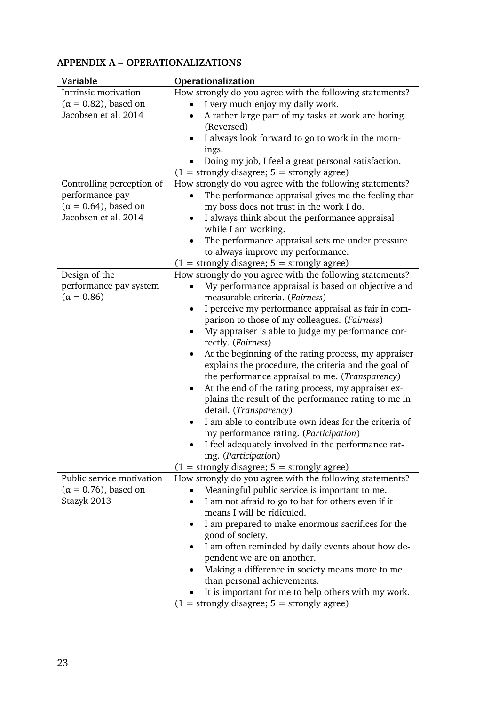| Variable                     | Operationalization                                                 |
|------------------------------|--------------------------------------------------------------------|
| Intrinsic motivation         | How strongly do you agree with the following statements?           |
| $(\alpha = 0.82)$ , based on | I very much enjoy my daily work.<br>$\bullet$                      |
| Jacobsen et al. 2014         | A rather large part of my tasks at work are boring.<br>$\bullet$   |
|                              | (Reversed)                                                         |
|                              | I always look forward to go to work in the morn-<br>$\bullet$      |
|                              | ings.                                                              |
|                              | Doing my job, I feel a great personal satisfaction.                |
|                              | $(1 =$ strongly disagree; $5 =$ strongly agree)                    |
| Controlling perception of    | How strongly do you agree with the following statements?           |
| performance pay              | The performance appraisal gives me the feeling that                |
| $(\alpha = 0.64)$ , based on | my boss does not trust in the work I do.                           |
| Jacobsen et al. 2014         | I always think about the performance appraisal                     |
|                              | while I am working.                                                |
|                              | The performance appraisal sets me under pressure<br>$\bullet$      |
|                              | to always improve my performance.                                  |
|                              | $(1 =$ strongly disagree; $5 =$ strongly agree)                    |
| Design of the                | How strongly do you agree with the following statements?           |
| performance pay system       | My performance appraisal is based on objective and<br>$\bullet$    |
| $(\alpha = 0.86)$            | measurable criteria. (Fairness)                                    |
|                              | I perceive my performance appraisal as fair in com-<br>٠           |
|                              | parison to those of my colleagues. (Fairness)                      |
|                              | My appraiser is able to judge my performance cor-<br>$\bullet$     |
|                              | rectly. (Fairness)                                                 |
|                              | At the beginning of the rating process, my appraiser               |
|                              | explains the procedure, the criteria and the goal of               |
|                              | the performance appraisal to me. (Transparency)                    |
|                              | At the end of the rating process, my appraiser ex-<br>$\bullet$    |
|                              | plains the result of the performance rating to me in               |
|                              | detail. (Transparency)                                             |
|                              | I am able to contribute own ideas for the criteria of<br>$\bullet$ |
|                              | my performance rating. (Participation)                             |
|                              | I feel adequately involved in the performance rat-                 |
|                              | ing. (Participation)                                               |
|                              | $(1 = strongly disagree; 5 = strongly agree)$                      |
| Public service motivation    | How strongly do you agree with the following statements?           |
| $(\alpha = 0.76)$ , based on | Meaningful public service is important to me.                      |
| Stazyk 2013                  | I am not afraid to go to bat for others even if it<br>$\bullet$    |
|                              | means I will be ridiculed.                                         |
|                              | I am prepared to make enormous sacrifices for the                  |
|                              | good of society.                                                   |
|                              | I am often reminded by daily events about how de-                  |
|                              | pendent we are on another.                                         |
|                              | Making a difference in society means more to me                    |
|                              | than personal achievements.                                        |
|                              | It is important for me to help others with my work.                |
|                              | $(1 =$ strongly disagree; $5 =$ strongly agree)                    |

# **APPENDIX A – OPERATIONALIZATIONS**